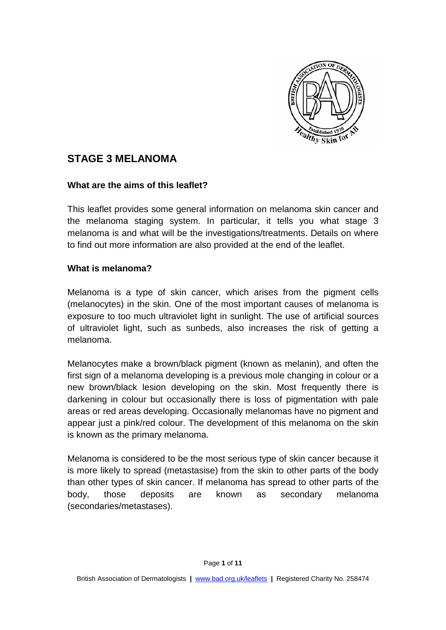

# **STAGE 3 MELANOMA**

## **What are the aims of this leaflet?**

This leaflet provides some general information on melanoma skin cancer and the melanoma staging system. In particular, it tells you what stage 3 melanoma is and what will be the investigations/treatments. Details on where to find out more information are also provided at the end of the leaflet.

## **What is melanoma?**

Melanoma is a type of skin cancer, which arises from the pigment cells (melanocytes) in the skin. One of the most important causes of melanoma is exposure to too much ultraviolet light in sunlight. The use of artificial sources of ultraviolet light, such as sunbeds, also increases the risk of getting a melanoma.

Melanocytes make a brown/black pigment (known as melanin), and often the first sign of a melanoma developing is a previous mole changing in colour or a new brown/black lesion developing on the skin. Most frequently there is darkening in colour but occasionally there is loss of pigmentation with pale areas or red areas developing. Occasionally melanomas have no pigment and appear just a pink/red colour. The development of this melanoma on the skin is known as the primary melanoma.

Melanoma is considered to be the most serious type of skin cancer because it is more likely to spread (metastasise) from the skin to other parts of the body than other types of skin cancer. If melanoma has spread to other parts of the body, those deposits are known as secondary melanoma (secondaries/metastases).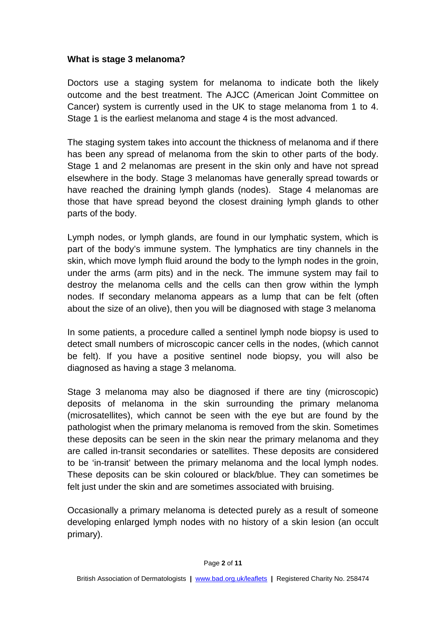## **What is stage 3 melanoma?**

Doctors use a staging system for melanoma to indicate both the likely outcome and the best treatment. The AJCC (American Joint Committee on Cancer) system is currently used in the UK to stage melanoma from 1 to 4. Stage 1 is the earliest melanoma and stage 4 is the most advanced.

The staging system takes into account the thickness of melanoma and if there has been any spread of melanoma from the skin to other parts of the body. Stage 1 and 2 melanomas are present in the skin only and have not spread elsewhere in the body. Stage 3 melanomas have generally spread towards or have reached the draining lymph glands (nodes). Stage 4 melanomas are those that have spread beyond the closest draining lymph glands to other parts of the body.

Lymph nodes, or lymph glands, are found in our lymphatic system, which is part of the body's immune system. The lymphatics are tiny channels in the skin, which move lymph fluid around the body to the lymph nodes in the groin, under the arms (arm pits) and in the neck. The immune system may fail to destroy the melanoma cells and the cells can then grow within the lymph nodes. If secondary melanoma appears as a lump that can be felt (often about the size of an olive), then you will be diagnosed with stage 3 melanoma

In some patients, a procedure called a sentinel lymph node biopsy is used to detect small numbers of microscopic cancer cells in the nodes, (which cannot be felt). If you have a positive sentinel node biopsy, you will also be diagnosed as having a stage 3 melanoma.

Stage 3 melanoma may also be diagnosed if there are tiny (microscopic) deposits of melanoma in the skin surrounding the primary melanoma (microsatellites), which cannot be seen with the eye but are found by the pathologist when the primary melanoma is removed from the skin. Sometimes these deposits can be seen in the skin near the primary melanoma and they are called in-transit secondaries or satellites. These deposits are considered to be 'in-transit' between the primary melanoma and the local lymph nodes. These deposits can be skin coloured or black/blue. They can sometimes be felt just under the skin and are sometimes associated with bruising.

Occasionally a primary melanoma is detected purely as a result of someone developing enlarged lymph nodes with no history of a skin lesion (an occult primary).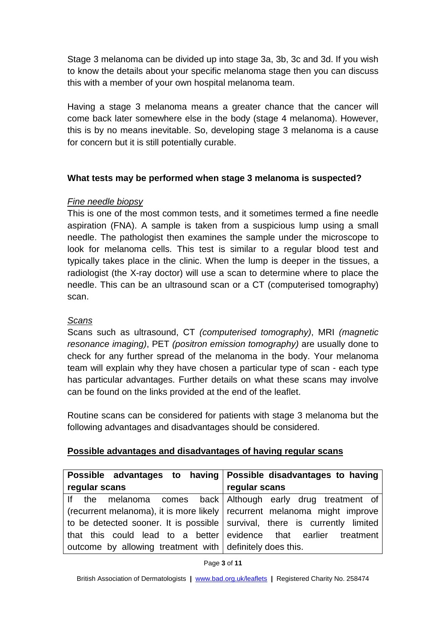Stage 3 melanoma can be divided up into stage 3a, 3b, 3c and 3d. If you wish to know the details about your specific melanoma stage then you can discuss this with a member of your own hospital melanoma team.

Having a stage 3 melanoma means a greater chance that the cancer will come back later somewhere else in the body (stage 4 melanoma). However, this is by no means inevitable. So, developing stage 3 melanoma is a cause for concern but it is still potentially curable.

## **What tests may be performed when stage 3 melanoma is suspected?**

## *Fine needle biopsy*

This is one of the most common tests, and it sometimes termed a fine needle aspiration (FNA). A sample is taken from a suspicious lump using a small needle. The pathologist then examines the sample under the microscope to look for melanoma cells. This test is similar to a regular blood test and typically takes place in the clinic. When the lump is deeper in the tissues, a radiologist (the X-ray doctor) will use a scan to determine where to place the needle. This can be an ultrasound scan or a CT (computerised tomography) scan.

# *Scans*

Scans such as ultrasound, CT *(computerised tomography)*, MRI *(magnetic resonance imaging)*, PET *(positron emission tomography)* are usually done to check for any further spread of the melanoma in the body. Your melanoma team will explain why they have chosen a particular type of scan - each type has particular advantages. Further details on what these scans may involve can be found on the links provided at the end of the leaflet.

Routine scans can be considered for patients with stage 3 melanoma but the following advantages and disadvantages should be considered.

## **Possible advantages and disadvantages of having regular scans**

| Possible advantages to having Possible disadvantages to having             |                                                                  |
|----------------------------------------------------------------------------|------------------------------------------------------------------|
| regular scans                                                              | regular scans                                                    |
| If the melanoma comes back Although early drug treatment of                |                                                                  |
| (recurrent melanoma), it is more likely   recurrent melanoma might improve |                                                                  |
| to be detected sooner. It is possible survival, there is currently limited |                                                                  |
|                                                                            | that this could lead to a better evidence that earlier treatment |
| outcome by allowing treatment with definitely does this.                   |                                                                  |

Page **3** of **11**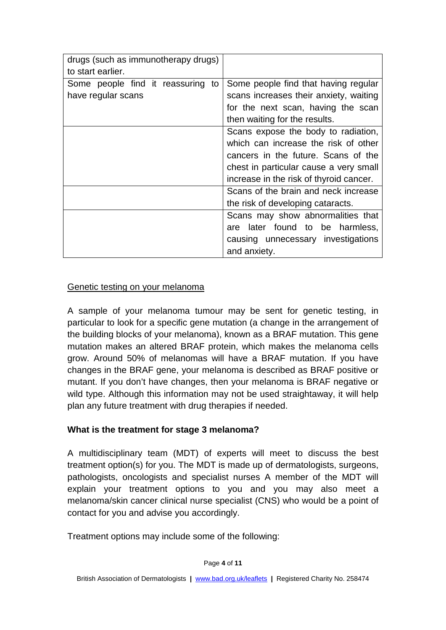| drugs (such as immunotherapy drugs) |                                         |
|-------------------------------------|-----------------------------------------|
| to start earlier.                   |                                         |
| Some people find it reassuring to   | Some people find that having regular    |
| have regular scans                  | scans increases their anxiety, waiting  |
|                                     | for the next scan, having the scan      |
|                                     | then waiting for the results.           |
|                                     | Scans expose the body to radiation,     |
|                                     | which can increase the risk of other    |
|                                     | cancers in the future. Scans of the     |
|                                     | chest in particular cause a very small  |
|                                     | increase in the risk of thyroid cancer. |
|                                     | Scans of the brain and neck increase    |
|                                     | the risk of developing cataracts.       |
|                                     | Scans may show abnormalities that       |
|                                     | are later found to be harmless,         |
|                                     | causing unnecessary investigations      |
|                                     | and anxiety.                            |

## Genetic testing on your melanoma

A sample of your melanoma tumour may be sent for genetic testing, in particular to look for a specific gene mutation (a change in the arrangement of the building blocks of your melanoma), known as a BRAF mutation. This gene mutation makes an altered BRAF protein, which makes the melanoma cells grow. Around 50% of melanomas will have a BRAF mutation. If you have changes in the BRAF gene, your melanoma is described as BRAF positive or mutant. If you don't have changes, then your melanoma is BRAF negative or wild type. Although this information may not be used straightaway, it will help plan any future treatment with drug therapies if needed.

## **What is the treatment for stage 3 melanoma?**

A multidisciplinary team (MDT) of experts will meet to discuss the best treatment option(s) for you. The MDT is made up of dermatologists, surgeons, pathologists, oncologists and specialist nurses A member of the MDT will explain your treatment options to you and you may also meet a melanoma/skin cancer clinical nurse specialist (CNS) who would be a point of contact for you and advise you accordingly.

Treatment options may include some of the following: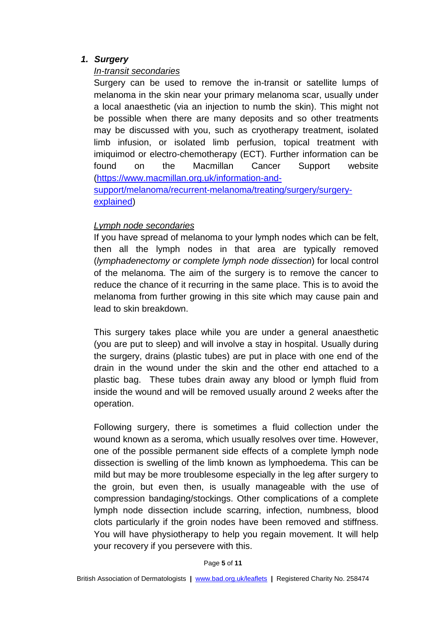## *1. Surgery*

## *In-transit secondaries*

Surgery can be used to remove the in-transit or satellite lumps of melanoma in the skin near your primary melanoma scar, usually under a local anaesthetic (via an injection to numb the skin). This might not be possible when there are many deposits and so other treatments may be discussed with you, such as cryotherapy treatment, isolated limb infusion, or isolated limb perfusion, topical treatment with imiquimod or electro-chemotherapy (ECT). Further information can be found on the Macmillan Cancer Support website [\(https://www.macmillan.org.uk/information-and](https://www.macmillan.org.uk/information-and-support/melanoma/recurrent-melanoma/treating/surgery/surgery-explained)[support/melanoma/recurrent-melanoma/treating/surgery/surgery](https://www.macmillan.org.uk/information-and-support/melanoma/recurrent-melanoma/treating/surgery/surgery-explained)[explained\)](https://www.macmillan.org.uk/information-and-support/melanoma/recurrent-melanoma/treating/surgery/surgery-explained)

## *Lymph node secondaries*

If you have spread of melanoma to your lymph nodes which can be felt, then all the lymph nodes in that area are typically removed (*lymphadenectomy or complete lymph node dissection*) for local control of the melanoma. The aim of the surgery is to remove the cancer to reduce the chance of it recurring in the same place. This is to avoid the melanoma from further growing in this site which may cause pain and lead to skin breakdown.

This surgery takes place while you are under a general anaesthetic (you are put to sleep) and will involve a stay in hospital. Usually during the surgery, drains (plastic tubes) are put in place with one end of the drain in the wound under the skin and the other end attached to a plastic bag. These tubes drain away any blood or lymph fluid from inside the wound and will be removed usually around 2 weeks after the operation.

Following surgery, there is sometimes a fluid collection under the wound known as a seroma, which usually resolves over time. However, one of the possible permanent side effects of a complete lymph node dissection is swelling of the limb known as lymphoedema. This can be mild but may be more troublesome especially in the leg after surgery to the groin, but even then, is usually manageable with the use of compression bandaging/stockings. Other complications of a complete lymph node dissection include scarring, infection, numbness, blood clots particularly if the groin nodes have been removed and stiffness. You will have physiotherapy to help you regain movement. It will help your recovery if you persevere with this.

Page **5** of **11**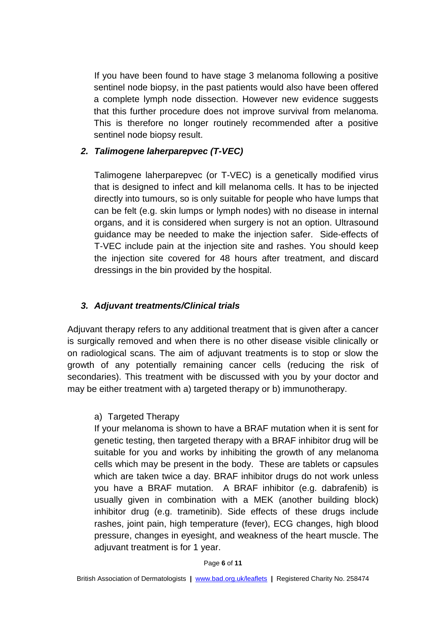If you have been found to have stage 3 melanoma following a positive sentinel node biopsy, in the past patients would also have been offered a complete lymph node dissection. However new evidence suggests that this further procedure does not improve survival from melanoma. This is therefore no longer routinely recommended after a positive sentinel node biopsy result.

## *2. Talimogene laherparepvec (T-VEC)*

Talimogene laherparepvec (or T-VEC) is a genetically modified virus that is designed to infect and kill melanoma cells. It has to be injected directly into tumours, so is only suitable for people who have lumps that can be felt (e.g. skin lumps or lymph nodes) with no disease in internal organs, and it is considered when surgery is not an option. Ultrasound guidance may be needed to make the injection safer. Side-effects of T-VEC include pain at the injection site and rashes. You should keep the injection site covered for 48 hours after treatment, and discard dressings in the bin provided by the hospital.

## *3. Adjuvant treatments/Clinical trials*

Adjuvant therapy refers to any additional treatment that is given after a cancer is surgically removed and when there is no other disease visible clinically or on radiological scans. The aim of adjuvant treatments is to stop or slow the growth of any potentially remaining cancer cells (reducing the risk of secondaries). This treatment with be discussed with you by your doctor and may be either treatment with a) targeted therapy or b) immunotherapy.

## a) Targeted Therapy

If your melanoma is shown to have a BRAF mutation when it is sent for genetic testing, then targeted therapy with a BRAF inhibitor drug will be suitable for you and works by inhibiting the growth of any melanoma cells which may be present in the body. These are tablets or capsules which are taken twice a day. BRAF inhibitor drugs do not work unless you have a BRAF mutation. A BRAF inhibitor (e.g. dabrafenib) is usually given in combination with a MEK (another building block) inhibitor drug (e.g. trametinib). Side effects of these drugs include rashes, joint pain, high temperature (fever), ECG changes, high blood pressure, changes in eyesight, and weakness of the heart muscle. The adjuvant treatment is for 1 year.

#### Page **6** of **11**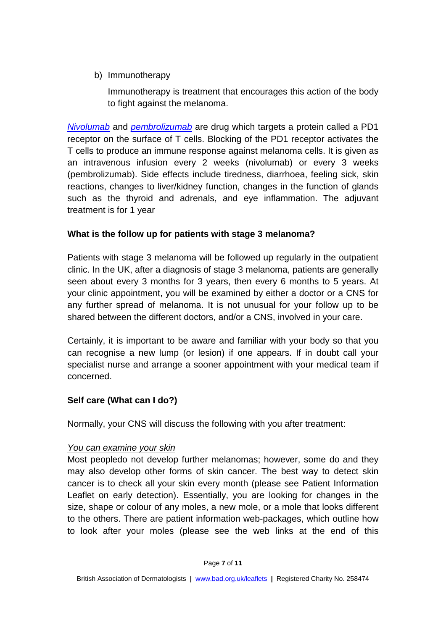b) Immunotherapy

Immunotherapy is treatment that encourages this action of the body to fight against the melanoma.

*[Nivolumab](https://www.medicines.org.uk/emc/product/6888)* and *[pembrolizumab](https://www.medicines.org.uk/emc/product/2498/smpc)* are drug which targets a protein called a PD1 receptor on the surface of T cells. Blocking of the PD1 receptor activates the T cells to produce an immune response against melanoma cells. It is given as an intravenous infusion every 2 weeks (nivolumab) or every 3 weeks (pembrolizumab). Side effects include tiredness, diarrhoea, feeling sick, skin reactions, changes to liver/kidney function, changes in the function of glands such as the thyroid and adrenals, and eye inflammation. The adjuvant treatment is for 1 year

# **What is the follow up for patients with stage 3 melanoma?**

Patients with stage 3 melanoma will be followed up regularly in the outpatient clinic. In the UK, after a diagnosis of stage 3 melanoma, patients are generally seen about every 3 months for 3 years, then every 6 months to 5 years. At your clinic appointment, you will be examined by either a doctor or a CNS for any further spread of melanoma. It is not unusual for your follow up to be shared between the different doctors, and/or a CNS, involved in your care.

Certainly, it is important to be aware and familiar with your body so that you can recognise a new lump (or lesion) if one appears. If in doubt call your specialist nurse and arrange a sooner appointment with your medical team if concerned.

# **Self care (What can I do?)**

Normally, your CNS will discuss the following with you after treatment:

# *You can examine your skin*

Most peopledo not develop further melanomas; however, some do and they may also develop other forms of skin cancer. The best way to detect skin cancer is to check all your skin every month (please see Patient Information Leaflet on early detection). Essentially, you are looking for changes in the size, shape or colour of any moles, a new mole, or a mole that looks different to the others. There are patient information web-packages, which outline how to look after your moles (please see the web links at the end of this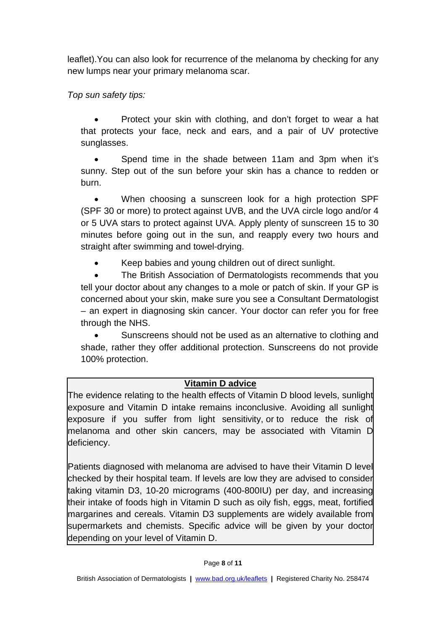leaflet).You can also look for recurrence of the melanoma by checking for any new lumps near your primary melanoma scar.

*Top sun safety tips:*

• Protect your skin with clothing, and don't forget to wear a hat that protects your face, neck and ears, and a pair of UV protective sunglasses.

• Spend time in the shade between 11am and 3pm when it's sunny. Step out of the sun before your skin has a chance to redden or burn.

• When choosing a sunscreen look for a high protection SPF (SPF 30 or more) to protect against UVB, and the UVA circle logo and/or 4 or 5 UVA stars to protect against UVA. Apply plenty of sunscreen 15 to 30 minutes before going out in the sun, and reapply every two hours and straight after swimming and towel-drying.

• Keep babies and young children out of direct sunlight.

The British Association of Dermatologists recommends that you tell your doctor about any changes to a mole or patch of skin. If your GP is concerned about your skin, make sure you see a Consultant Dermatologist – an expert in diagnosing skin cancer. Your doctor can refer you for free through the NHS.

• Sunscreens should not be used as an alternative to clothing and shade, rather they offer additional protection. Sunscreens do not provide 100% protection.

# **Vitamin D advice**

The evidence relating to the health effects of Vitamin D blood levels, sunlight exposure and Vitamin D intake remains inconclusive. Avoiding all sunlight exposure if you suffer from light sensitivity, or to reduce the risk of melanoma and other skin cancers, may be associated with Vitamin D deficiency.

Patients diagnosed with melanoma are advised to have their Vitamin D level checked by their hospital team. If levels are low they are advised to consider taking vitamin D3, 10-20 micrograms (400-800IU) per day, and increasing their intake of foods high in Vitamin D such as oily fish, eggs, meat, fortified margarines and cereals. Vitamin D3 supplements are widely available from supermarkets and chemists. Specific advice will be given by your doctor depending on your level of Vitamin D.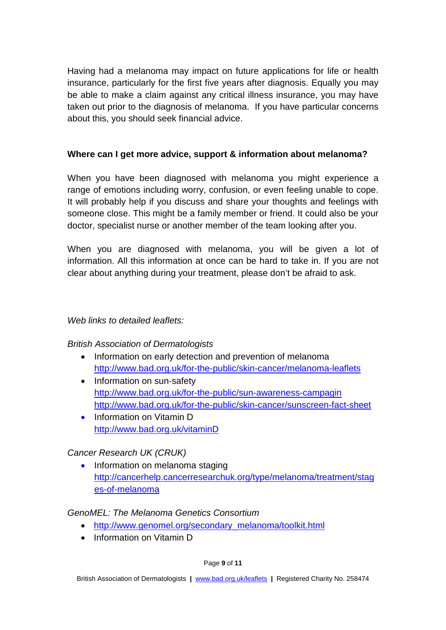Having had a melanoma may impact on future applications for life or health insurance, particularly for the first five years after diagnosis. Equally you may be able to make a claim against any critical illness insurance, you may have taken out prior to the diagnosis of melanoma. If you have particular concerns about this, you should seek financial advice.

## **Where can I get more advice, support & information about melanoma?**

When you have been diagnosed with melanoma you might experience a range of emotions including worry, confusion, or even feeling unable to cope. It will probably help if you discuss and share your thoughts and feelings with someone close. This might be a family member or friend. It could also be your doctor, specialist nurse or another member of the team looking after you.

When you are diagnosed with melanoma, you will be given a lot of information. All this information at once can be hard to take in. If you are not clear about anything during your treatment, please don't be afraid to ask.

## *Web links to detailed leaflets:*

## *British Association of Dermatologists*

- Information on early detection and prevention of melanoma <http://www.bad.org.uk/for-the-public/skin-cancer/melanoma-leaflets>
- Information on sun-safety <http://www.bad.org.uk/for-the-public/sun-awareness-campagin> <http://www.bad.org.uk/for-the-public/skin-cancer/sunscreen-fact-sheet>
- Information on Vitamin D [http://www.bad.org.uk/vitaminD](http://www.bad.org.uk/for-the-public/skin-cancer/vitamin-d)

## *Cancer Research UK (CRUK)*

• Information on melanoma staging [http://cancerhelp.cancerresearchuk.org/type/melanoma/treatment/stag](https://www.cancerresearchuk.org/about-cancer) [es-of-melanoma](https://www.cancerresearchuk.org/about-cancer)

## *GenoMEL: The Melanoma Genetics Consortium*

- [http://www.genomel.org/secondary\\_melanoma/toolkit.html](http://www.genomel.org/secondary_melanoma/toolkit.html)
- Information on Vitamin D

#### Page **9** of **11**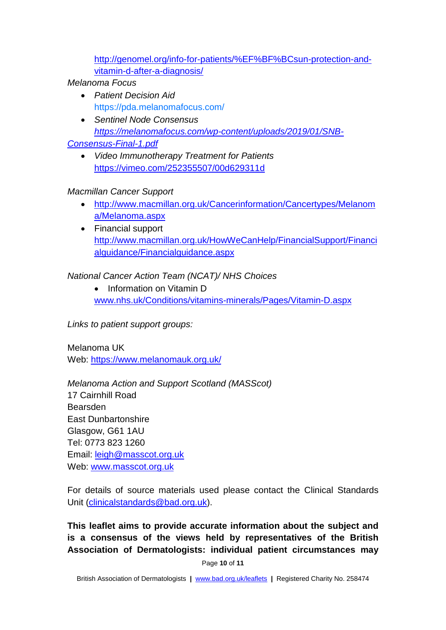[http://genomel.org/info-for-patients/%EF%BF%BCsun-protection-and](http://genomel.org/info-for-patients/%EF%BF%BCsun-protection-and-vitamin-d-after-a-diagnosis/)[vitamin-d-after-a-diagnosis/](http://genomel.org/info-for-patients/%EF%BF%BCsun-protection-and-vitamin-d-after-a-diagnosis/)

## *Melanoma Focus*

- *Patient Decision Aid* <https://pda.melanomafocus.com/>
- *Sentinel Node Consensus [https://melanomafocus.com/wp-content/uploads/2019/01/SNB-](https://melanomafocus.com/wp-content/uploads/2019/01/SNB-Consensus-Final-1.pdf)*
- *[Consensus-Final-1.pdf](https://melanomafocus.com/wp-content/uploads/2019/01/SNB-Consensus-Final-1.pdf)*
	- *Video Immunotherapy Treatment for Patients* <https://vimeo.com/252355507/00d629311d>

## *Macmillan Cancer Support*

- [http://www.macmillan.org.uk/Cancerinformation/Cancertypes/Melanom](http://www.macmillan.org.uk/Cancerinformation/Cancertypes/Melanoma/Melanoma.aspx) [a/Melanoma.aspx](http://www.macmillan.org.uk/Cancerinformation/Cancertypes/Melanoma/Melanoma.aspx)
- Financial support [http://www.macmillan.org.uk/HowWeCanHelp/FinancialSupport/Financi](http://www.macmillan.org.uk/HowWeCanHelp/FinancialSupport/Financialguidance/Financialguidance.aspx) [alguidance/Financialguidance.aspx](http://www.macmillan.org.uk/HowWeCanHelp/FinancialSupport/Financialguidance/Financialguidance.aspx)

# *National Cancer Action Team (NCAT)/ NHS Choices*

• Information on Vitamin D [www.nhs.uk/Conditions/vitamins-minerals/Pages/Vitamin-D.aspx](http://www.nhs.uk/Conditions/vitamins-minerals/Pages/Vitamin-D.aspx)

*Links to patient support groups:*

Melanoma UK Web:<https://www.melanomauk.org.uk/>

*Melanoma Action and Support Scotland (MASScot)* 17 Cairnhill Road Bearsden East Dunbartonshire Glasgow, G61 1AU Tel: 0773 823 1260 Email: [leigh@masscot.org.uk](mailto:leigh@masscot.org.uk) Web: [www.masscot.org.uk](http://www.masscot.org.uk/)

For details of source materials used please contact the Clinical Standards Unit [\(clinicalstandards@bad.org.uk\)](mailto:clinicalstandards@bad.org.uk).

**This leaflet aims to provide accurate information about the subject and is a consensus of the views held by representatives of the British Association of Dermatologists: individual patient circumstances may** 

Page **10** of **11**